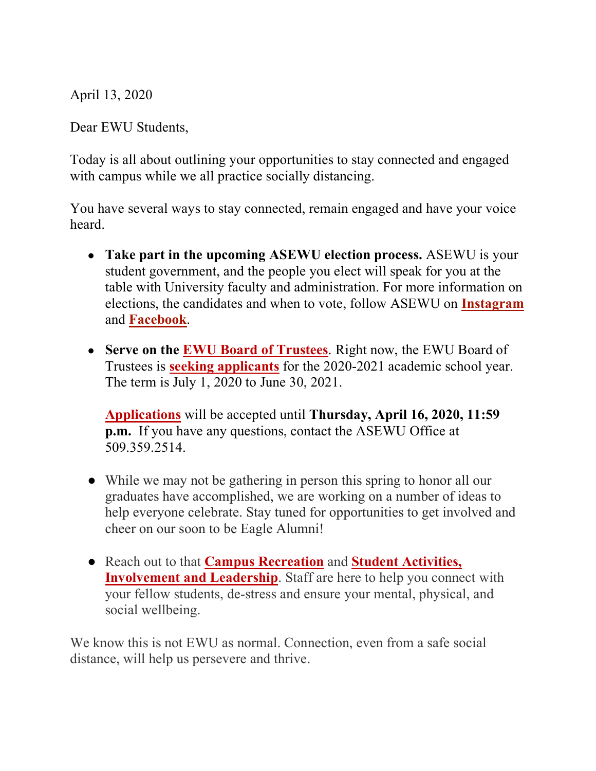April 13, 2020

Dear EWU Students,

Today is all about outlining your opportunities to stay connected and engaged with campus while we all practice socially distancing.

You have several ways to stay connected, remain engaged and have your voice heard.

- **Take part in the upcoming ASEWU election process.** ASEWU is your student government, and the people you elect will speak for you at the table with University faculty and administration. For more information on elections, the candidates and when to vote, follow ASEWU on **Instagram** and **Facebook**.
- **Serve on the EWU Board of Trustees**. Right now, the EWU Board of Trustees is **seeking applicants** for the 2020-2021 academic school year. The term is July 1, 2020 to June 30, 2021.

**Applications** will be accepted until **Thursday, April 16, 2020, 11:59 p.m.** If you have any questions, contact the ASEWU Office at 509.359.2514.

- While we may not be gathering in person this spring to honor all our graduates have accomplished, we are working on a number of ideas to help everyone celebrate. Stay tuned for opportunities to get involved and cheer on our soon to be Eagle Alumni!
- Reach out to that **Campus Recreation** and **Student Activities, Involvement and Leadership**. Staff are here to help you connect with your fellow students, de-stress and ensure your mental, physical, and social wellbeing.

We know this is not EWU as normal. Connection, even from a safe social distance, will help us persevere and thrive.